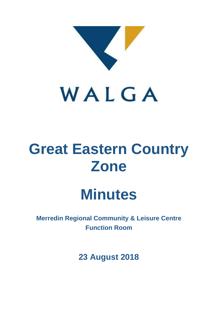

# **Great Eastern Country Zone**

# **Minutes**

**Merredin Regional Community & Leisure Centre Function Room**

**23 August 2018**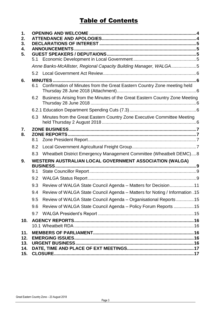# **Table of Contents**

| 1.<br>2.<br>3.<br>4.<br>5. | 5.1 |                                                                                 |  |
|----------------------------|-----|---------------------------------------------------------------------------------|--|
|                            |     | Anne Banks-McAllister, Regional Capacity Building Manager, WALGA5               |  |
|                            |     |                                                                                 |  |
| 6.                         | 6.1 | Confirmation of Minutes from the Great Eastern Country Zone meeting held        |  |
|                            |     | 6.2 Business Arising from the Minutes of the Great Eastern Country Zone Meeting |  |
|                            |     |                                                                                 |  |
|                            | 6.3 | Minutes from the Great Eastern Country Zone Executive Committee Meeting         |  |
| 7.<br>8.                   |     |                                                                                 |  |
|                            | 8.1 |                                                                                 |  |
|                            | 8.2 |                                                                                 |  |
|                            | 8.3 | Wheatbelt District Emergency Management Committee (Wheatbelt DEMC)8             |  |
| 9.                         | 9.1 | WESTERN AUSTRALIAN LOCAL GOVERNMENT ASSOCIATION (WALGA)<br><b>BUSINESS</b>      |  |
|                            | 9.2 |                                                                                 |  |
|                            | 9.3 | Review of WALGA State Council Agenda - Matters for Decision 11                  |  |
|                            | 9.4 | Review of WALGA State Council Agenda - Matters for Noting / Information . 15    |  |
|                            | 9.5 | Review of WALGA State Council Agenda - Organisational Reports  15               |  |
|                            | 9.6 | Review of WALGA State Council Agenda – Policy Forum Reports 15                  |  |
|                            | 9.7 |                                                                                 |  |
| 10.                        |     |                                                                                 |  |
| 11.                        |     |                                                                                 |  |
| 12.<br>13.                 |     |                                                                                 |  |
| 14.<br>15.                 |     |                                                                                 |  |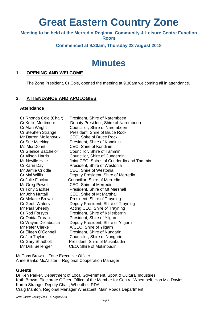# **Great Eastern Country Zone**

**Meeting to be held at the Merredin Regional Community & Leisure Centre Function** 

**Room** 

# **Commenced at 9.30am, Thursday 23 August 2018**

# **Minutes**

# <span id="page-2-0"></span>**1. OPENING AND WELCOME**

The Zone President, Cr Cole, opened the meeting at 9.30am welcoming all in attendance.

# <span id="page-2-1"></span>**2. ATTENDANCE AND APOLOGIES**

# **Attendance**

| Cr Rhonda Cole (Chair)      | President, Shire of Narembeen             |
|-----------------------------|-------------------------------------------|
| Cr Kellie Mortimore         | Deputy President, Shire of Narembeen      |
| Cr Alan Wright              | Councillor, Shire of Narembeen            |
| Cr Stephen Strange          | President, Shire of Bruce Rock            |
| Mr Darren Mollenoyux        | CEO, Shire of Bruce Rock                  |
| Cr Sue Meeking              | President, Shire of Kondinin              |
| Ms Mia Dohnt                | CEO, Shire of Kondinin                    |
| <b>Cr Glenice Batchelor</b> | Councillor, Shire of Tammin               |
| <b>Cr Alison Harris</b>     | Councillor, Shire of Cunderdin            |
| Mr Neville Hale             | Joint CEO, Shires of Cunderdin and Tammin |
| Cr Karin Day                | President, Shire of Westonia              |
| Mr Jamie Criddle            | CEO, Shire of Westonia                    |
| Cr Mal Willis               | Deputy President, Shire of Merredin       |
| Cr Julie Flockart           | Councillor, Shire of Merredin             |
| Mr Greg Powell              | CEO, Shire of Merredin                    |
| Cr Tony Sachse              | President, Shire of Mt Marshall           |
| Mr John Nuttall             | CEO, Shire of Mt Marshall                 |
| Cr Melanie Brown            | President, Shire of Trayning              |
| <b>Cr Geoff Waters</b>      | Deputy President, Shire of Trayning       |
| Mr Paul Sheedy              | Acting CEO, Shire of Trayning             |
| Cr Rod Forsyth              | President, Shire of Kellerberrin          |
| Cr Onida Truran             | President, Shire of Yilgarn               |
| Cr Wayne Dellabosca         | Deputy President, Shire of Yilgarn        |
| <b>Mr Peter Clarke</b>      | A/CEO, Shire of Yilgarn                   |
| Cr Eileen O'Connell         | President, Shire of Nungarin              |
| Cr Jim Taylor               | Councillor, Shire of Nungarin             |
|                             |                                           |
| Cr Gary Shadbolt            | President, Shire of Mukinbudin            |
| Mr Dirk Sellenger           | CEO, Shire of Mukinbudin                  |
|                             |                                           |

Mr Tony Brown – Zone Executive Officer Anne Banks-McAllister – Regional Cooperation Manager

# **Guests**

Dr Ken Parker, Department of Local Government, Sport & Cultural Industries Kath Brown, Electorate Officer, Office of the Member for Central Wheatbelt, Hon Mia Davies Karen Strange, Deputy Chair, Wheatbelt RDA Craig Manton, Regional Manager Wheatbelt, Main Roads Department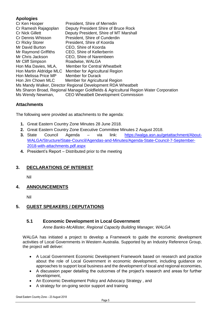# **Apologies**

| Cr Ken Hooper                                                                        | President, Shire of Merredin                |  |  |  |  |
|--------------------------------------------------------------------------------------|---------------------------------------------|--|--|--|--|
| Cr Ramesh Rajagoplan                                                                 | Deputy President Shire of Bruce Rock        |  |  |  |  |
| <b>Cr Nick Gillett</b>                                                               | Deputy President, Shire of MT Marshall      |  |  |  |  |
| Cr Dennis Whisson                                                                    | President, Shire of Cunderdin               |  |  |  |  |
| <b>Cr Ricky Storer</b>                                                               | President, Shire of Koorda                  |  |  |  |  |
| Mr David Burton                                                                      | CEO, Shire of Koorda                        |  |  |  |  |
| Mr Raymond Griffiths                                                                 | CEO, Shire of Kellerberrin                  |  |  |  |  |
| Mr Chris Jackson                                                                     | CEO, Shire of Narembeen                     |  |  |  |  |
| Mr Cliff Simpson                                                                     | Roadwise, WALGA                             |  |  |  |  |
| Hon Mia Davies, MLA,                                                                 | <b>Member for Central Wheatbelt</b>         |  |  |  |  |
| Hon Martin Aldridge MLC                                                              | Member for Agricultural Region              |  |  |  |  |
| Hon Melissa Price MP                                                                 | <b>Member for Durack</b>                    |  |  |  |  |
| Hon Jim Chown MLC                                                                    | Member for Agricultural Region              |  |  |  |  |
| Ms Mandy Walker, Director Regional Development RDA Wheatbelt                         |                                             |  |  |  |  |
| Ms Sharon Broad, Regional Manager Goldfields & Agricultural Region Water Corporation |                                             |  |  |  |  |
| Ms Wendy Newman,                                                                     | <b>CEO Wheatbelt Development Commission</b> |  |  |  |  |

# **Attachments**

The following were provided as attachments to the agenda:

- **1.** Great Eastern Country Zone Minutes 28 June 2018.
- **2.** Great Eastern Country Zone Executive Committee Minutes 2 August 2018.
- **3.** State Council Agenda via link: [https://walga.asn.au/getattachment/About-](https://walga.asn.au/getattachment/About-WALGA/Structure/State-Council/Agendas-and-Minutes/Agenda-State-Council-7-September-2018-with-attachments.pdf.aspx)[WALGA/Structure/State-Council/Agendas-and-Minutes/Agenda-State-Council-7-September-](https://walga.asn.au/getattachment/About-WALGA/Structure/State-Council/Agendas-and-Minutes/Agenda-State-Council-7-September-2018-with-attachments.pdf.aspx)[2018-with-attachments.pdf.aspx](https://walga.asn.au/getattachment/About-WALGA/Structure/State-Council/Agendas-and-Minutes/Agenda-State-Council-7-September-2018-with-attachments.pdf.aspx)
- **4.** President's Report Distributed prior to the meeting

# <span id="page-3-0"></span>**3. DECLARATIONS OF INTEREST**

Nil

<span id="page-3-1"></span>**4. ANNOUNCEMENTS**

Nil

# <span id="page-3-3"></span><span id="page-3-2"></span>**5. GUEST SPEAKERS / DEPUTATIONS**

# **5.1 Economic Development in Local Government**

*Anne Banks-McAllister, Regional Capacity Building Manager, WALGA*

<span id="page-3-4"></span>WALGA has initiated a project to develop a Framework to guide the economic development activities of Local Governments in Western Australia. Supported by an Industry Reference Group, the project will deliver:

- A Local Government Economic Development Framework based on research and practice about the role of Local Government in economic development, including guidance on approaches to support local business and the development of local and regional economies,
- A discussion paper detailing the outcomes of the project's research and areas for further development,
- An Economic Development Policy and Advocacy Strategy, and
- A strategy for on-going sector support and training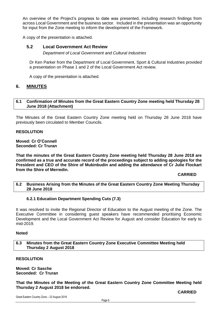An overview of the Project's progress to date was presented, including research findings from across Local Government and the business sector. Included in the presentation was an opportunity for input from the Zone meeting to inform the development of the Framework.

<span id="page-4-0"></span>A copy of the presentation is attached.

# **5.2 Local Government Act Review**

*Department of Local Government and Cultural Industries*

Dr Ken Parker from the Department of Local Government, Sport & Cultural Industries provided a presentation on Phase 1 and 2 of the Local Government Act review.

A copy of the presentation is attached.

# <span id="page-4-1"></span>**6. MINUTES**

# <span id="page-4-2"></span>**6.1 Confirmation of Minutes from the Great Eastern Country Zone meeting held Thursday 28 June 2018 (Attachment)**

The Minutes of the Great Eastern Country Zone meeting held on Thursday 28 June 2018 have previously been circulated to Member Councils.

### **RESOLUTION**

**Moved: Cr O'Connell Seconded: Cr Truran**

**That the minutes of the Great Eastern Country Zone meeting held Thursday 28 June 2018 are confirmed as a true and accurate record of the proceedings subject to adding apologies for the President and CEO of the Shire of Mukinbudin and adding the attendance of Cr Julie Flockart from the Shire of Merredin.**

### **CARRIED**

### <span id="page-4-4"></span><span id="page-4-3"></span>**6.2 Business Arising from the Minutes of the Great Eastern Country Zone Meeting Thursday 28 June 2018**

### **6.2.1 Education Department Spending Cuts (7.3)**

It was resolved to invite the Regional Director of Education to the August meeting of the Zone. The Executive Committee in considering guest speakers have recommended prioritising Economic Development and the Local Government Act Review for August and consider Education for early to mid-2019.

### <span id="page-4-5"></span>**Noted**

**6.3 Minutes from the Great Eastern Country Zone Executive Committee Meeting held Thursday 2 August 2018**

# **RESOLUTION**

**Moved: Cr Sasche Seconded: Cr Truran**

**That the Minutes of the Meeting of the Great Eastern Country Zone Committee Meeting held Thursday 2 August 2018 be endorsed.**

**CARRIED**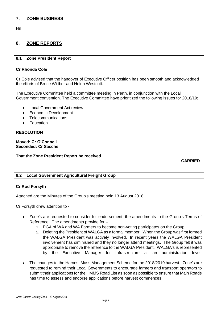# <span id="page-5-0"></span>**7. ZONE BUSINESS**

Nil

# <span id="page-5-1"></span>**8. ZONE REPORTS**

# <span id="page-5-2"></span>**8.1 Zone President Report**

# **Cr Rhonda Cole**

Cr Cole advised that the handover of Executive Officer position has been smooth and acknowledged the efforts of Bruce Wittber and Helen Westcott.

The Executive Committee held a committee meeting in Perth, in conjunction with the Local Government convention. The Executive Committee have prioritized the following issues for 2018/19;

- Local Government Act review
- Economic Development
- **Telecommunications**
- **•** Education

# **RESOLUTION**

# **Moved: Cr O'Connell Seconded: Cr Sasche**

# **That the Zone President Report be received**

 **CARRIED**

# <span id="page-5-3"></span>**8.2 Local Government Agricultural Freight Group**

# **Cr Rod Forsyth**

Attached are the Minutes of the Group's meeting held 13 August 2018.

Cr Forsyth drew attention to -

- Zone's are requested to consider for endorsement, the amendments to the Group's Terms of Reference. The amendments provide for –
	- 1. PGA of WA and WA Farmers to become non-voting participates on the Group.
	- 2. Deleting the President of WALGA as a formal member. When the Group was first formed the WALGA President was actively involved. In recent years the WALGA President involvement has diminished and they no longer attend meetings. The Group felt it was appropriate to remove the reference to the WALGA President. WALGA's is represented by the Executive Manager for Infrastructure at an administration level.
- The changes to the Harvest Mass Management Scheme for the 2018/2019 harvest. Zone's are requested to remind their Local Governments to encourage farmers and transport operators to submit their applications for the HMMS Road List as soon as possible to ensure that Main Roads has time to assess and endorse applications before harvest commences.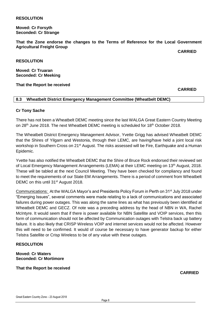# **RESOLUTION**

**Moved: Cr Forsyth Seconded: Cr Strange**

**That the Zone endorse the changes to the Terms of Reference for the Local Government Agricultural Freight Group**

**CARRIED**

**RESOLUTION**

**Moved: Cr Truaran Seconded: Cr Meeking**

#### **That the Report be received**

 **CARRIED**

# <span id="page-6-0"></span>**8.3 Wheatbelt District Emergency Management Committee (Wheatbelt DEMC)**

### **Cr Tony Sache**

There has not been a Wheatbelt DEMC meeting since the last WALGA Great Eastern Country Meeting on 28<sup>th</sup> June 2018. The next Wheatbelt DEMC meeting is scheduled for 18<sup>th</sup> October 2018.

The Wheatbelt District Emergency Management Advisor, Yvette Grigg has advised Wheatbelt DEMC that the Shires of Yilgarn and Westonia, through their LEMC, are having/have held a joint local risk workshop in Southern Cross on 21<sup>st</sup> August. The risks assessed will be Fire, Earthquake and a Human Epidemic.

Yvette has also notified the Wheatbelt DEMC that the Shire of Bruce Rock endorsed their reviewed set of Local Emergency Management Arrangements (LEMA) at their LEMC meeting on 13<sup>th</sup> August, 2018. These will be tabled at the next Council Meeting. They have been checked for compliancy and found to meet the requirements of our State EM Arrangements. There is a period of comment from Wheatbelt DEMC on this until 31<sup>st</sup> August 2018.

Communications: At the WALGA Mayor's and Presidents Policy Forum in Perth on 31st July 2018 under "Emerging Issues", several comments were made relating to a lack of communications and associated failures during power outages. This was along the same lines as what has previously been identified at Wheatbelt DEMC and GECZ. Of note was a preceding address by the head of NBN in WA, Rachel McIntyre. It would seem that if there is power available for NBN Satellite and VOIP services, then this form of communication should not be affected by Communication outages with Telstra back up battery failure. It is also likely that CRISP Wireless VOIP and internet services would not be affected. However this will need to be confirmed. It would of course be necessary to have generator backup for either Telstra Satellite or Crisp Wireless to be of any value with these outages.

### **RESOLUTION**

**Moved: Cr Waters Seconded: Cr Mortimore**

**That the Report be received**

 **CARRIED**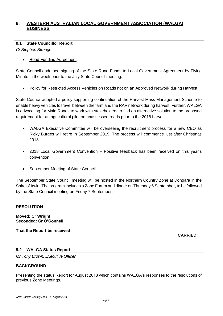# <span id="page-7-0"></span>**9. WESTERN AUSTRALIAN LOCAL GOVERNMENT ASSOCIATION (WALGA) BUSINESS**

# <span id="page-7-1"></span>**9.1 State Councillor Report**

*Cr Stephen Strange*

Road Funding Agreement

State Council endorsed signing of the State Road Funds to Local Government Agreement by Flying Minute in the week prior to the July State Council meeting.

Policy for Restricted Access Vehicles on Roads not on an Approved Network during Harvest

State Council adopted a policy supporting continuation of the Harvest Mass Management Scheme to enable heavy vehicles to travel between the farm and the RAV network during harvest. Further, WALGA is advocating for Main Roads to work with stakeholders to find an alternative solution to the proposed requirement for an agricultural pilot on unassessed roads prior to the 2018 harvest.

- WALGA Executive Committee will be overseeing the recruitment process for a new CEO as Ricky Burges will retire in September 2019. The process will commence just after Christmas 2018.
- 2018 Local Government Convention Positive feedback has been received on this year's convention.
- September Meeting of State Council

The September State Council meeting will be hosted in the Northern Country Zone at Dongara in the Shire of Irwin. The program includes a Zone Forum and dinner on Thursday 6 September, to be followed by the State Council meeting on Friday 7 September.

# **RESOLUTION**

**Moved: Cr Wright Seconded: Cr O'Connell** 

**That the Report be received**

**CARRIED**

# <span id="page-7-2"></span>**9.2 WALGA Status Report**

*Mr Tony Brown, Executive Officer*

# **BACKGROUND**

Presenting the status Report for August 2018 which contains WALGA's responses to the resolutions of previous Zone Meetings.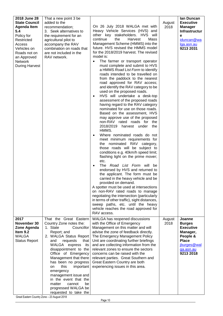| 2018 June 28<br><b>State Council</b><br><b>Agenda Item</b><br>5.4<br>Policy for<br>Restricted<br>Access<br>Vehicles on<br>Roads not on<br>an Approved<br><b>Network</b><br><b>During Harvest</b> | That a new point 3 be<br>added to the<br>recommendation;<br>3. Seek alternatives to<br>the requirement for an<br>agricultural pilot to<br>accompany the RAV<br>combination on roads that<br>are not included in the<br>RAV network.                                                                                                                                                                                                         | On 26 July 2018 WALGA met with<br>Heavy Vehicle Services (HVS) and<br>other key stakeholders. HVS will<br>continue<br>the<br>Harvest<br>Mass<br>Management Scheme (HMMS) into the<br>future. HVS revised the HMMS model<br>for the 2018/2019 harvest. The revised<br>model is:<br>The farmer or transport operator<br>must complete and submit to HVS<br>a HMMS Road List Form to identify<br>roads intended to be travelled on<br>from the paddock to the nearest<br>road approved for RAV access;<br>and identify the RAV category to be<br>used on the proposed roads.<br>HVS will undertake a desk-top<br>$\bullet$<br>assessment of the proposed roads<br>having regard to the RAV category<br>nominated for use on those roads.<br>Based on the assessment, HVS<br>may approve use of the proposed<br>non-RAV rated roads for the<br>2018/2019<br>harvest under<br>the<br>HMMS.<br>Where nominated roads do not<br>meet minimum requirements for<br>the nominated RAV category,<br>those roads will be subject to<br>conditions e.g. 40km/h speed limit;<br>flashing light on the prime mover;<br>etc.<br>The Road List Form will be<br>endorsed by HVS and returned to<br>the applicant. The form must be<br>carried in the heavy vehicle and be<br>provided on demand.<br>A spotter must be used at intersections<br>on non-RAV rated roads to manage<br>negotiating the intersection (particularly<br>in terms of other traffic), sight distances,<br>sweep paths, etc. until the heavy<br>vehicle reaches the road approved for<br>RAV access. | August<br>2018 | lan Duncan<br><b>Executive</b><br><b>Manager</b><br>Infrastructur<br>е<br>iduncan@wa<br>lga.asn.au<br>9213 2031              |
|--------------------------------------------------------------------------------------------------------------------------------------------------------------------------------------------------|---------------------------------------------------------------------------------------------------------------------------------------------------------------------------------------------------------------------------------------------------------------------------------------------------------------------------------------------------------------------------------------------------------------------------------------------|----------------------------------------------------------------------------------------------------------------------------------------------------------------------------------------------------------------------------------------------------------------------------------------------------------------------------------------------------------------------------------------------------------------------------------------------------------------------------------------------------------------------------------------------------------------------------------------------------------------------------------------------------------------------------------------------------------------------------------------------------------------------------------------------------------------------------------------------------------------------------------------------------------------------------------------------------------------------------------------------------------------------------------------------------------------------------------------------------------------------------------------------------------------------------------------------------------------------------------------------------------------------------------------------------------------------------------------------------------------------------------------------------------------------------------------------------------------------------------------------------------------------------------------------------------|----------------|------------------------------------------------------------------------------------------------------------------------------|
| 2017<br>November 30<br>Zone Agenda<br>Item 9.2<br><b>WALGA</b><br><b>Status Report</b>                                                                                                           | That the Great Eastern<br>Country Zone notes the:<br>1. State<br>Councillor<br>Report; and<br>2. WALGA Status Report<br>and<br>requests<br>that<br>WALGA express<br>its<br>disappointment to the<br>Office of Emergency<br>Management that there<br>has been no progress<br>this<br>important<br>on<br>emergency<br>management issue and<br>in the event that the<br>matter<br>cannot<br>be<br>progressed WALGA be<br>requested to take the | WALGA has reopened discussions<br>with the Office of Emergency<br>Management on this matter and will<br>advise the zone of feedback directly.<br>The Emergency Management Policy<br>Unit are coordinating further briefings<br>and are collecting information from the<br>relevant zones to ensure the sectors<br>concerns can be raised with the<br>relevant parties. Great Southern and<br>Great Eastern Country are both<br>experiencing issues in this area.                                                                                                                                                                                                                                                                                                                                                                                                                                                                                                                                                                                                                                                                                                                                                                                                                                                                                                                                                                                                                                                                                         | August<br>2018 | Joanne<br><b>Burges</b><br><b>Executive</b><br>Manager,<br>People &<br><b>Place</b><br>jburges@wal<br>ga.asn.au<br>9213 2018 |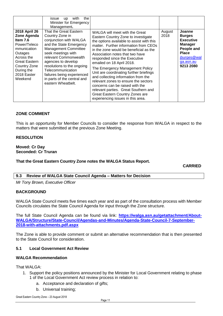|                                                                                                                                                                             | the<br>with<br><i>issue</i><br><b>up</b><br>Minister for Emergency<br>Management.                                                                                                                                                                                                                                                         |                                                                                                                                                                                                                                                                                                                                                                                                                                                                                                                                                                                                                        |                |                                                                                                                                      |
|-----------------------------------------------------------------------------------------------------------------------------------------------------------------------------|-------------------------------------------------------------------------------------------------------------------------------------------------------------------------------------------------------------------------------------------------------------------------------------------------------------------------------------------|------------------------------------------------------------------------------------------------------------------------------------------------------------------------------------------------------------------------------------------------------------------------------------------------------------------------------------------------------------------------------------------------------------------------------------------------------------------------------------------------------------------------------------------------------------------------------------------------------------------------|----------------|--------------------------------------------------------------------------------------------------------------------------------------|
| 2018 April 26<br>Zone Agenda<br>Item $7.6$<br>Power/Teleco<br>mmunication<br>Outages<br>Across the<br>Great Eastern<br>Country Zone<br>During the<br>2018 Easter<br>Weekend | That the Great Eastern<br>Country Zone in<br>conjunction with WALGA<br>and the State Emergency<br><b>Management Committee</b><br>seek meetings with<br>relevant Commonwealth<br>agencies to develop<br>resolutions to the ongoing<br>Telecommunication<br>failures being experienced<br>in parts of the central and<br>eastern Wheatbelt. | WALGA will meet with the Great<br>Eastern Country Zone to investigate<br>the options available to assist with this<br>matter. Further information from CEOs<br>in the zone would be beneficial as the<br>Association notes that two have<br>responded since the Executive<br>emailed on 18 April 2018.<br>The Emergency Management Policy<br>Unit are coordinating further briefings<br>and collecting information from the<br>relevant zones to ensure the sectors<br>concerns can be raised with the<br>relevant parties. Great Southern and<br>Great Eastern Country Zones are<br>experiencing issues in this area. | August<br>2018 | Joanne<br><b>Burges</b><br><b>Executive</b><br><b>Manager</b><br>People and<br><b>Place</b><br>jburges@wal<br>ga.asn.au<br>9213 2080 |

# **ZONE COMMENT**

This is an opportunity for Member Councils to consider the response from WALGA in respect to the matters that were submitted at the previous Zone Meeting.

# **RESOLUTION**

**Moved: Cr Day Seconded: Cr Truran**

**That the Great Eastern Country Zone notes the WALGA Status Report.**

**CARRIED**

<span id="page-9-0"></span>**9.3 Review of WALGA State Council Agenda – Matters for Decision**

*Mr Tony Brown, Executive Officer*

# **BACKGROUND**

WALGA State Council meets five times each year and as part of the consultation process with Member Councils circulates the State Council Agenda for input through the Zone structure.

The full State Council Agenda can be found via link: **[https://walga.asn.au/getattachment/About-](https://walga.asn.au/getattachment/About-WALGA/Structure/State-Council/Agendas-and-Minutes/Agenda-State-Council-7-September-2018-with-attachments.pdf.aspx)[WALGA/Structure/State-Council/Agendas-and-Minutes/Agenda-State-Council-7-September-](https://walga.asn.au/getattachment/About-WALGA/Structure/State-Council/Agendas-and-Minutes/Agenda-State-Council-7-September-2018-with-attachments.pdf.aspx)[2018-with-attachments.pdf.aspx](https://walga.asn.au/getattachment/About-WALGA/Structure/State-Council/Agendas-and-Minutes/Agenda-State-Council-7-September-2018-with-attachments.pdf.aspx)**

The Zone is able to provide comment or submit an alternative recommendation that is then presented to the State Council for consideration.

# **5.1 Local Government Act Review**

# **WALGA Recommendation**

That WALGA:

- 1. Support the policy positions announced by the Minister for Local Government relating to phase 1 of the Local Government Act review process in relation to:
	- a. Acceptance and declaration of gifts;
	- b. Universal training;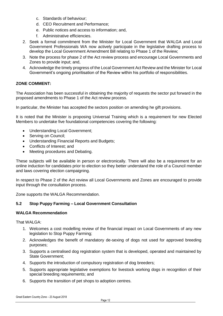- c. Standards of behaviour;
- d. CEO Recruitment and Performance;
- e. Public notices and access to information; and,
- f. Administrative efficiencies.
- 2. Seek a formal commitment from the Minister for Local Government that WALGA and Local Government Professionals WA now actively participate in the legislative drafting process to develop the Local Government Amendment Bill relating to Phase 1 of the Review;
- 3. Note the process for phase 2 of the Act review process and encourage Local Governments and Zones to provide input; and,
- 4. Acknowledge the timely progress of the Local Government Act Review and the Minister for Local Government's ongoing prioritisation of the Review within his portfolio of responsibilities.

# **ZONE COMMENT:**

The Association has been successful in obtaining the majority of requests the sector put forward in the proposed amendments to Phase 1 of the Act review process.

In particular, the Minister has accepted the sectors position on amending he gift provisions.

It is noted that the Minister is proposing Universal Training which is a requirement for new Elected Members to undertake five foundational competencies covering the following:

- Understanding Local Government;
- Serving on Council;
- Understanding Financial Reports and Budgets;
- Conflicts of Interest; and
- Meeting procedures and Debating.

These subjects will be available in person or electronically. There will also be a requirement for an online induction for candidates prior to election so they better understand the role of a Council member and laws covering election campaigning.

In respect to Phase 2 of the Act review all Local Governments and Zones are encouraged to provide input through the consultation process.

Zone supports the WALGA Recommendation.

# **5.2 Stop Puppy Farming – Local Government Consultation**

# **WALGA Recommendation**

That WALGA:

- 1. Welcomes a cost modelling review of the financial impact on Local Governments of any new legislation to Stop Puppy Farming;
- 2. Acknowledges the benefit of mandatory de-sexing of dogs not used for approved breeding purposes;
- 3. Supports a centralised dog registration system that is developed, operated and maintained by State Government;
- 4. Supports the introduction of compulsory registration of dog breeders;
- 5. Supports appropriate legislative exemptions for livestock working dogs in recognition of their special breeding requirements; and
- 6. Supports the transition of pet shops to adoption centres.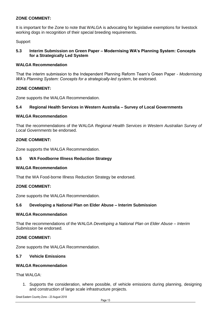# **ZONE COMMENT:**

It is important for the Zone to note that WALGA is advocating for legislative exemptions for livestock working dogs in recognition of their special breeding requirements.

Support

# **5.3 Interim Submission on Green Paper – Modernising WA's Planning System: Concepts for a Strategically Led System**

# **WALGA Recommendation**

That the interim submission to the Independent Planning Reform Team's Green Paper - *Modernising WA's Planning System: Concepts for a strategically-led system*, be endorsed.

# **ZONE COMMENT:**

Zone supports the WALGA Recommendation.

# **5.4 Regional Health Services in Western Australia – Survey of Local Governments**

# **WALGA Recommendation**

That the recommendations of the WALGA *Regional Health Services in Western Australian Survey of Local Governments* be endorsed.

# **ZONE COMMENT:**

Zone supports the WALGA Recommendation.

# **5.5 WA Foodborne Illness Reduction Strategy**

# **WALGA Recommendation**

That the WA Food-borne Illness Reduction Strategy be endorsed.

# **ZONE COMMENT:**

Zone supports the WALGA Recommendation.

# **5.6 Developing a National Plan on Elder Abuse – Interim Submission**

### **WALGA Recommendation**

That the recommendations of the WALGA *Developing a National Plan on Elder Abuse – Interim Submission* be endorsed.

# **ZONE COMMENT:**

Zone supports the WALGA Recommendation.

# **5.7 Vehicle Emissions**

# **WALGA Recommendation**

That WAI GA:

1. Supports the consideration, where possible, of vehicle emissions during planning, designing and construction of large scale infrastructure projects.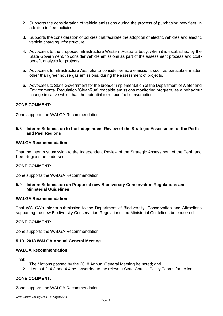- 2. Supports the consideration of vehicle emissions during the process of purchasing new fleet, in addition to fleet policies.
- 3. Supports the consideration of policies that facilitate the adoption of electric vehicles and electric vehicle charging infrastructure.
- 4. Advocates to the proposed Infrastructure Western Australia body, when it is established by the State Government, to consider vehicle emissions as part of the assessment process and costbenefit analysis for projects.
- 5. Advocates to Infrastructure Australia to consider vehicle emissions such as particulate matter, other than greenhouse gas emissions, during the assessment of projects.
- 6. Advocates to State Government for the broader implementation of the Department of Water and Environmental Regulation 'CleanRun' roadside emissions monitoring program, as a behaviour change initiative which has the potential to reduce fuel consumption.

# **ZONE COMMENT:**

Zone supports the WALGA Recommendation.

# **5.8 Interim Submission to the Independent Review of the Strategic Assessment of the Perth and Peel Regions**

# **WALGA Recommendation**

That the interim submission to the Independent Review of the Strategic Assessment of the Perth and Peel Regions be endorsed.

# **ZONE COMMENT:**

Zone supports the WALGA Recommendation.

### **5.9 Interim Submission on Proposed new Biodiversity Conservation Regulations and Ministerial Guidelines**

### **WALGA Recommendation**

That WALGA's interim submission to the Department of Biodiversity, Conservation and Attractions supporting the new Biodiversity Conservation Regulations and Ministerial Guidelines be endorsed.

# **ZONE COMMENT:**

Zone supports the WALGA Recommendation.

# **5.10 2018 WALGA Annual General Meeting**

### **WALGA Recommendation**

That:

- 1. The Motions passed by the 2018 Annual General Meeting be noted; and,
- 2. Items 4.2, 4.3 and 4.4 be forwarded to the relevant State Council Policy Teams for action.

# **ZONE COMMENT:**

Zone supports the WALGA Recommendation.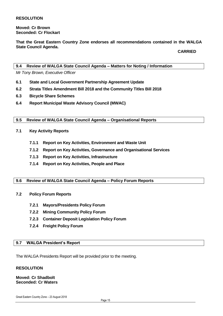**Moved: Cr Brown Seconded: Cr Flockart**

**That the Great Eastern Country Zone endorses all recommendations contained in the WALGA State Council Agenda.**

**CARRIED**

# <span id="page-13-0"></span>**9.4 Review of WALGA State Council Agenda – Matters for Noting / Information**

*Mr Tony Brown, Executive Officer*

- **6.1 State and Local Government Partnership Agreement Update**
- **6.2 Strata Titles Amendment Bill 2018 and the Community Titles Bill 2018**
- **6.3 Bicycle Share Schemes**
- **6.4 Report Municipal Waste Advisory Council (MWAC)**

# <span id="page-13-1"></span>**9.5 Review of WALGA State Council Agenda – Organisational Reports**

- **7.1 Key Activity Reports**
	- **7.1.1 Report on Key Activities, Environment and Waste Unit**
	- **7.1.2 Report on Key Activities, Governance and Organisational Services**
	- **7.1.3 Report on Key Activities, Infrastructure**
	- **7.1.4 Report on Key Activities, People and Place**

# <span id="page-13-2"></span>**9.6 Review of WALGA State Council Agenda – Policy Forum Reports**

#### **7.2 Policy Forum Reports**

- **7.2.1 Mayors/Presidents Policy Forum**
- **7.2.2 Mining Community Policy Forum**
- **7.2.3 Container Deposit Legislation Policy Forum**
- **7.2.4 Freight Policy Forum**

# <span id="page-13-3"></span>**9.7 WALGA President's Report**

The WALGA Presidents Report will be provided prior to the meeting.

#### **RESOLUTION**

# **Moved: Cr Shadbolt Seconded: Cr Waters**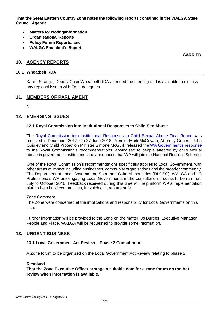**That the Great Eastern Country Zone notes the following reports contained in the WALGA State Council Agenda.**

- **Matters for Noting/Information**
- **Organisational Reports**
- **Policy Forum Reports; and**
- **WALGA President's Report**

**CARRIED**

# <span id="page-14-1"></span><span id="page-14-0"></span>**10. AGENCY REPORTS**

# **10.1 Wheatbelt RDA**

Karen Strange, Deputy Chair Wheatbelt RDA attended the meeting and is available to discuss any regional issues with Zone delegates.

# <span id="page-14-2"></span>**11. MEMBERS OF PARLIAMENT**

Nil

# <span id="page-14-3"></span>**12. EMERGING ISSUES**

### **12.1 Royal Commission into Institutional Responses to Child Sex Abuse**

The [Royal Commission into Institutional Responses to Child Sexual Abuse Final Report](https://www.childabuseroyalcommission.gov.au/final-report) was received in December 2017. On 27 June 2018, Premier Mark McGowan, Attorney General John Quigley and Child Protection Minister Simone McGurk released the [WA Government's response](https://www.dpc.wa.gov.au/ProjectsandSpecialEvents/Royal-Commission/Documents/RC-SOI-FINAL-151217.pdf) to the Royal Commission's recommendations, apologised to people affected by child sexual abuse in government institutions, and announced that WA will join the National Redress Scheme.

One of the Royal Commission's recommendations specifically applies to Local Government, with other areas of impact including businesses, community organisations and the broader community. The Department of Local Government, Sport and Cultural Industries (DLGSC), WALGA and LG Professionals WA are engaging Local Governments in the consultation process to be run from July to October 2018. Feedback received during this time will help inform WA's implementation plan to help build communities, in which children are safe.

### Zone Comment

The Zone were concerned at the implications and responsibility for Local Governments on this issue.

Further information will be provided to the Zone on the matter. Jo Burges, Executive Manager People and Place, WALGA will be requested to provide some information.

# <span id="page-14-4"></span>**13. URGENT BUSINESS**

# **13.1 Local Government Act Review – Phase 2 Consultation**

A Zone forum to be organized on the Local Government Act Review relating to phase 2.

### **Resolved**

**That the Zone Executive Officer arrange a suitable date for a zone forum on the Act review when information is available.**